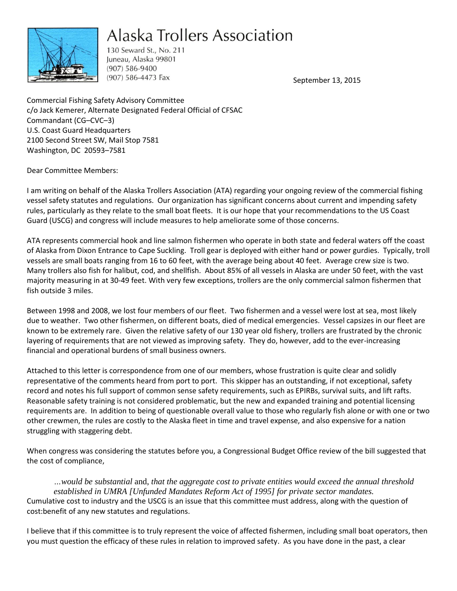

## **Alaska Trollers Association**

130 Seward St., No. 211 Juneau, Alaska 99801  $(907) 586 - 9400$ (907) 586-4473 Fax

September 13, 2015

Commercial Fishing Safety Advisory Committee c/o Jack Kemerer, Alternate Designated Federal Official of CFSAC Commandant (CG–CVC–3) U.S. Coast Guard Headquarters 2100 Second Street SW, Mail Stop 7581 Washington, DC 20593–7581

Dear Committee Members:

I am writing on behalf of the Alaska Trollers Association (ATA) regarding your ongoing review of the commercial fishing vessel safety statutes and regulations. Our organization has significant concerns about current and impending safety rules, particularly as they relate to the small boat fleets. It is our hope that your recommendations to the US Coast Guard (USCG) and congress will include measures to help ameliorate some of those concerns.

ATA represents commercial hook and line salmon fishermen who operate in both state and federal waters off the coast of Alaska from Dixon Entrance to Cape Suckling. Troll gear is deployed with either hand or power gurdies. Typically, troll vessels are small boats ranging from 16 to 60 feet, with the average being about 40 feet. Average crew size is two. Many trollers also fish for halibut, cod, and shellfish. About 85% of all vessels in Alaska are under 50 feet, with the vast majority measuring in at 30-49 feet. With very few exceptions, trollers are the only commercial salmon fishermen that fish outside 3 miles.

Between 1998 and 2008, we lost four members of our fleet. Two fishermen and a vessel were lost at sea, most likely due to weather. Two other fishermen, on different boats, died of medical emergencies. Vessel capsizes in our fleet are known to be extremely rare. Given the relative safety of our 130 year old fishery, trollers are frustrated by the chronic layering of requirements that are not viewed as improving safety. They do, however, add to the ever-increasing financial and operational burdens of small business owners.

Attached to this letter is correspondence from one of our members, whose frustration is quite clear and solidly representative of the comments heard from port to port. This skipper has an outstanding, if not exceptional, safety record and notes his full support of common sense safety requirements, such as EPIRBs, survival suits, and lift rafts. Reasonable safety training is not considered problematic, but the new and expanded training and potential licensing requirements are. In addition to being of questionable overall value to those who regularly fish alone or with one or two other crewmen, the rules are costly to the Alaska fleet in time and travel expense, and also expensive for a nation struggling with staggering debt.

When congress was considering the statutes before you, a Congressional Budget Office review of the bill suggested that the cost of compliance,

*…would be substantial* and, *that the aggregate cost to private entities would exceed the annual threshold established in UMRA [Unfunded Mandates Reform Act of 1995] for private sector mandates.* Cumulative cost to industry and the USCG is an issue that this committee must address, along with the question of cost:benefit of any new statutes and regulations.

I believe that if this committee is to truly represent the voice of affected fishermen, including small boat operators, then you must question the efficacy of these rules in relation to improved safety. As you have done in the past, a clear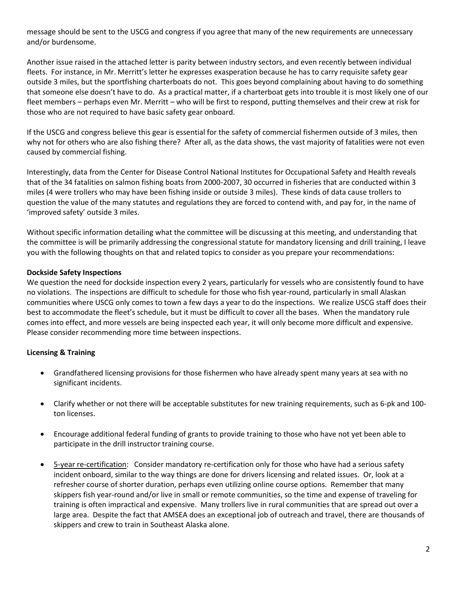message should be sent to the USCG and congress if you agree that many of the new requirements are unnecessary and/or burdensome.

Another issue raised in the attached letter is parity between industry sectors, and even recently between individual fleets. For instance, in Mr. Merritt's letter he expresses exasperation because he has to carry requisite safety gear outside 3 miles, but the sportfishing charterboats do not. This goes beyond complaining about having to do something that someone else doesn't have to do. As a practical matter, if a charterboat gets into trouble it is most likely one of our fleet members – perhaps even Mr. Merritt – who will be first to respond, putting themselves and their crew at risk for those who are not required to have basic safety gear onboard.

If the USCG and congress believe this gear is essential for the safety of commercial fishermen outside of 3 miles, then why not for others who are also fishing there? After all, as the data shows, the vast majority of fatalities were not even caused by commercial fishing.

Interestingly, data from the Center for Disease Control National Institutes for Occupational Safety and Health reveals that of the 34 fatalities on salmon fishing boats from 2000-2007, 30 occurred in fisheries that are conducted within 3 miles (4 were trollers who may have been fishing inside or outside 3 miles). These kinds of data cause trollers to question the value of the many statutes and regulations they are forced to contend with, and pay for, in the name of 'improved safety' outside 3 miles.

Without specific information detailing what the committee will be discussing at this meeting, and understanding that the committee is will be primarily addressing the congressional statute for mandatory licensing and drill training, I leave you with the following thoughts on that and related topics to consider as you prepare your recommendations:

## **Dockside Safety Inspections**

We question the need for dockside inspection every 2 years, particularly for vessels who are consistently found to have no violations. The inspections are difficult to schedule for those who fish year-round, particularly in small Alaskan communities where USCG only comes to town a few days a year to do the inspections. We realize USCG staff does their best to accommodate the fleet's schedule, but it must be difficult to cover all the bases. When the mandatory rule comes into effect, and more vessels are being inspected each year, it will only become more difficult and expensive. Please consider recommending more time between inspections.

## **Licensing & Training**

- Grandfathered licensing provisions for those fishermen who have already spent many years at sea with no significant incidents.
- Clarify whether or not there will be acceptable substitutes for new training requirements, such as 6-pk and 100 ton licenses.
- Encourage additional federal funding of grants to provide training to those who have not yet been able to participate in the drill instructor training course.
- 5-year re-certification: Consider mandatory re-certification only for those who have had a serious safety incident onboard, similar to the way things are done for drivers licensing and related issues. Or, look at a refresher course of shorter duration, perhaps even utilizing online course options. Remember that many skippers fish year-round and/or live in small or remote communities, so the time and expense of traveling for training is often impractical and expensive. Many trollers live in rural communities that are spread out over a large area. Despite the fact that AMSEA does an exceptional job of outreach and travel, there are thousands of skippers and crew to train in Southeast Alaska alone.